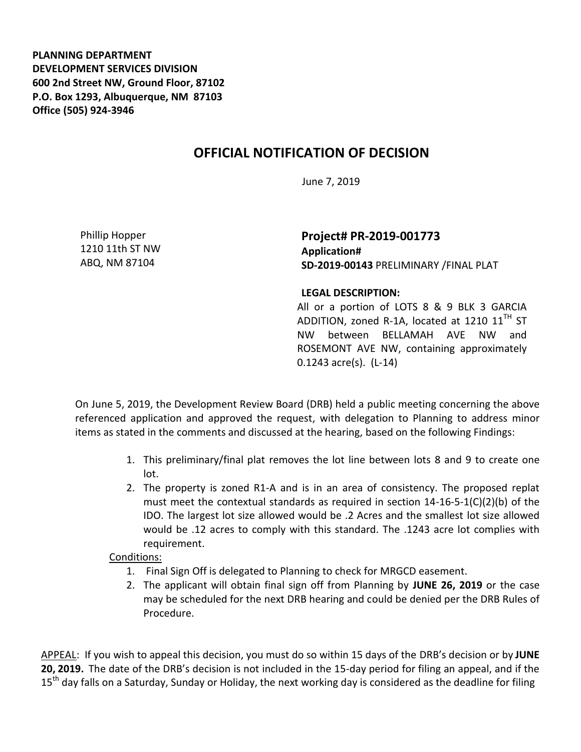**PLANNING DEPARTMENT DEVELOPMENT SERVICES DIVISION 600 2nd Street NW, Ground Floor, 87102 P.O. Box 1293, Albuquerque, NM 87103 Office (505) 924-3946** 

## **OFFICIAL NOTIFICATION OF DECISION**

June 7, 2019

Phillip Hopper 1210 11th ST NW ABQ, NM 87104

**Project# PR-2019-001773 Application# SD-2019-00143** PRELIMINARY /FINAL PLAT

## **LEGAL DESCRIPTION:**

All or a portion of LOTS 8 & 9 BLK 3 GARCIA ADDITION, zoned R-1A, located at 1210  $11<sup>TH</sup>$  ST NW between BELLAMAH AVE NW and ROSEMONT AVE NW, containing approximately 0.1243 acre(s). (L-14)

On June 5, 2019, the Development Review Board (DRB) held a public meeting concerning the above referenced application and approved the request, with delegation to Planning to address minor items as stated in the comments and discussed at the hearing, based on the following Findings:

- 1. This preliminary/final plat removes the lot line between lots 8 and 9 to create one lot.
- 2. The property is zoned R1-A and is in an area of consistency. The proposed replat must meet the contextual standards as required in section  $14-16-5-1(C)(2)(b)$  of the IDO. The largest lot size allowed would be .2 Acres and the smallest lot size allowed would be .12 acres to comply with this standard. The .1243 acre lot complies with requirement.

## Conditions:

- 1. Final Sign Off is delegated to Planning to check for MRGCD easement.
- 2. The applicant will obtain final sign off from Planning by **JUNE 26, 2019** or the case may be scheduled for the next DRB hearing and could be denied per the DRB Rules of Procedure.

APPEAL: If you wish to appeal this decision, you must do so within 15 days of the DRB's decision or by **JUNE 20, 2019.** The date of the DRB's decision is not included in the 15-day period for filing an appeal, and if the 15<sup>th</sup> day falls on a Saturday, Sunday or Holiday, the next working day is considered as the deadline for filing